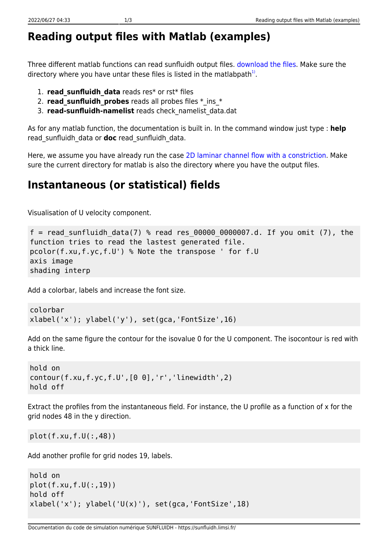## **Reading output files with Matlab (examples)**

Three different matlab functions can read sunfluidh output files. [download the files](https://sunfluidh.limsi.fr/_media/sunfluidh:read_sunfluidh_data.tar). Make sure the directory where you have untar these files is listed in the matlabpath $^{1)}$  $^{1)}$  $^{1)}$ .

- 1. **read\_sunfluidh\_data** reads res\* or rst\* files
- 2. **read sunfluidh probes** reads all probes files  $*$  ins  $*$
- 3. **read-sunfluidh-namelist** reads check\_namelist\_data.dat

As for any matlab function, the documentation is built in. In the command window just type : **help** read\_sunfluidh\_data or **doc** read\_sunfluidh\_data.

Here, we assume you have already run the cas[e 2D laminar channel flow with a constriction.](https://sunfluidh.limsi.fr/sunfluidh:2d_channel_flow_with_bar_incomp_flow) Make sure the current directory for matlab is also the directory where you have the output files.

## **Instantaneous (or statistical) fields**

Visualisation of U velocity component.

```
f = read sunfluidh data(7) % read res 00000 0000007.d. If you omit (7), the
function tries to read the lastest generated file.
pcolor(f.xu,f.yc,f.U') % Note the transpose ' for f.U
axis image
shading interp
```
Add a colorbar, labels and increase the font size.

```
colorbar
xlabel('x'); ylabel('y'), set(gca,'FontSize',16)
```
Add on the same figure the contour for the isovalue 0 for the U component. The isocontour is red with a thick line.

```
hold on
contour(f.xu,f.yc,f.U',[0 0],'r','linewidth',2)
hold off
```
Extract the profiles from the instantaneous field. For instance, the U profile as a function of x for the grid nodes 48 in the y direction.

plot(f.xu,f.U(:,48))

Add another profile for grid nodes 19, labels.

```
hold on
plot(f.xu,f.U(:,19))
hold off
xlabel('x'); ylabel('U(x)');\ set(gca,'FontSize',18)
```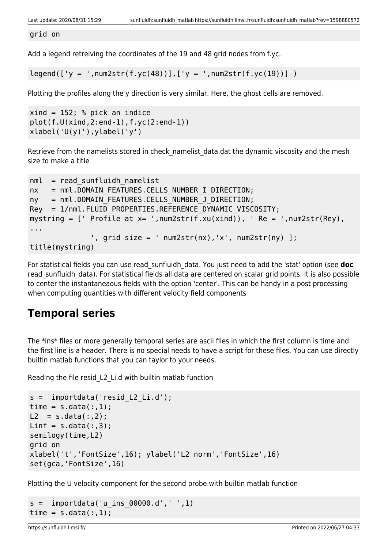grid on

Add a legend retreiving the coordinates of the 19 and 48 grid nodes from f.yc.

 $legend([y = ',num2str(f.yc(48))], ['y = ',num2str(f.yc(19))])$ 

Plotting the profiles along the y direction is very similar. Here, the ghost cells are removed.

```
xind = 152; % pick an indice
plot(f.U(xind,2:end-1),f.yc(2:end-1))
xlabel('U(y)'), ylabel('y')
```
Retrieve from the namelists stored in check namelist data.dat the dynamic viscosity and the mesh size to make a title

```
nml = read sunfluidh namelistnx = nml.DOMAIN FEATURES.CELLS NUMBER I DIRECTION;
ny = nml.DOMAIN FEATURES.CELLS NUMBER J DIRECTION;
Rey = 1/nml.FLUID PROPERTIES.REFERENCE DYNAMIC VISCOSITY;
mystring = [ Profile at x= ', num2str(f.xu(xind)), \prime Re = \prime, num2str(Rey),
...
              ', grid size = ' num2str(nx), 'x', num2str(ny) ];
title(mystring)
```
For statistical fields you can use read\_sunfluidh\_data. You just need to add the 'stat' option (see **doc** read sunfluidh data). For statistical fields all data are centered on scalar grid points. It is also possible to center the instantaneaous fields with the option 'center'. This can be handy in a post processing when computing quantities with different velocity field components

## **Temporal series**

The \*ins\* files or more generally temporal series are ascii files in which the first column is time and the first line is a header. There is no special needs to have a script for these files. You can use directly builtin matlab functions that you can taylor to your needs.

Reading the file resid\_L2\_Li.d with builtin matlab function

```
s = importdata('resid L2 Li.d');
time = s.data(:, 1);L2 = s.data(:,2);Linf = s.data(:,3);semilogy(time,L2)
grid on
xlabel('t','FontSize',16); ylabel('L2 norm','FontSize',16)
set(gca,'FontSize',16)
```
Plotting the U velocity component for the second probe with builtin matlab function

```
s = importdata('u ins 00000.d', ' ', 1)time = s.data(:, 1);
```